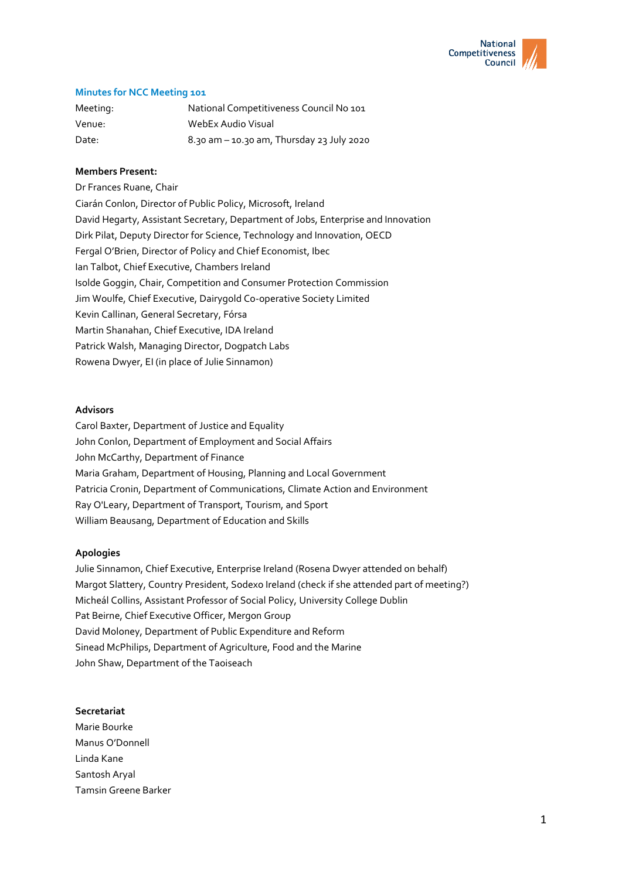

# **Minutes for NCC Meeting 101**

| Meeting: | National Competitiveness Council No 101       |
|----------|-----------------------------------------------|
| Venue:   | WebEx Audio Visual                            |
| Date:    | $8.30$ am $-$ 10.30 am, Thursday 23 July 2020 |

## **Members Present:**

Dr Frances Ruane, Chair Ciarán Conlon, Director of Public Policy, Microsoft, Ireland David Hegarty, Assistant Secretary, Department of Jobs, Enterprise and Innovation Dirk Pilat, Deputy Director for Science, Technology and Innovation, OECD Fergal O'Brien, Director of Policy and Chief Economist, Ibec Ian Talbot, Chief Executive, Chambers Ireland Isolde Goggin, Chair, Competition and Consumer Protection Commission Jim Woulfe, Chief Executive, Dairygold Co-operative Society Limited Kevin Callinan, General Secretary, Fórsa Martin Shanahan, Chief Executive, IDA Ireland Patrick Walsh, Managing Director, Dogpatch Labs Rowena Dwyer, EI (in place of Julie Sinnamon)

### **Advisors**

Carol Baxter, Department of Justice and Equality John Conlon, Department of Employment and Social Affairs John McCarthy, Department of Finance Maria Graham, Department of Housing, Planning and Local Government Patricia Cronin, Department of Communications, Climate Action and Environment Ray O'Leary, Department of Transport, Tourism, and Sport William Beausang, Department of Education and Skills

### **Apologies**

Julie Sinnamon, Chief Executive, Enterprise Ireland (Rosena Dwyer attended on behalf) Margot Slattery, Country President, Sodexo Ireland (check if she attended part of meeting?) Micheál Collins, Assistant Professor of Social Policy, University College Dublin Pat Beirne, Chief Executive Officer, Mergon Group David Moloney, Department of Public Expenditure and Reform Sinead McPhilips, Department of Agriculture, Food and the Marine John Shaw, Department of the Taoiseach

### **Secretariat**

Marie Bourke Manus O'Donnell Linda Kane Santosh Aryal Tamsin Greene Barker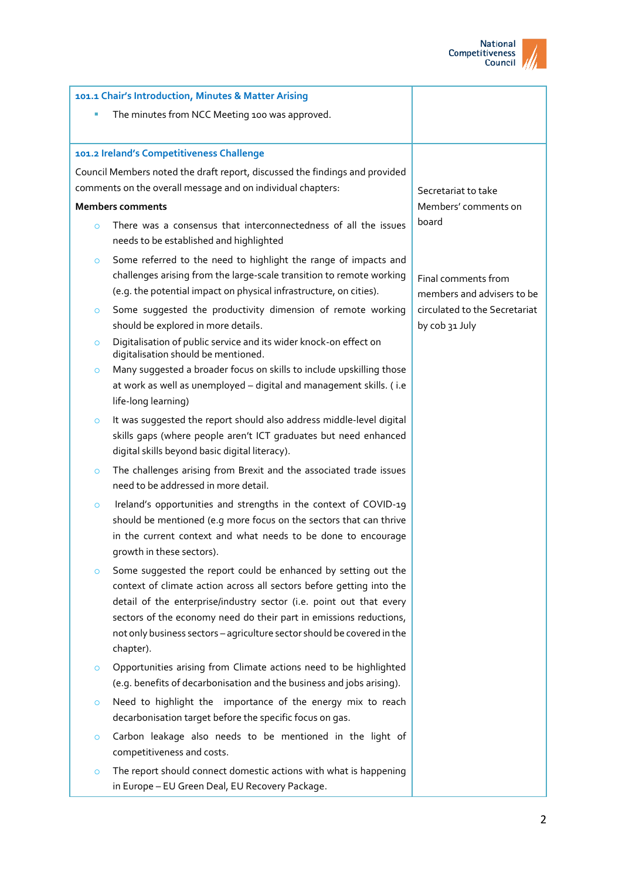

| 101.1 Chair's Introduction, Minutes & Matter Arising        |                                                                                                                                                                                                                                                                                                                                                                             |                                                   |
|-------------------------------------------------------------|-----------------------------------------------------------------------------------------------------------------------------------------------------------------------------------------------------------------------------------------------------------------------------------------------------------------------------------------------------------------------------|---------------------------------------------------|
| The minutes from NCC Meeting 100 was approved.              |                                                                                                                                                                                                                                                                                                                                                                             |                                                   |
|                                                             |                                                                                                                                                                                                                                                                                                                                                                             |                                                   |
|                                                             | 101.2 Ireland's Competitiveness Challenge                                                                                                                                                                                                                                                                                                                                   |                                                   |
|                                                             | Council Members noted the draft report, discussed the findings and provided                                                                                                                                                                                                                                                                                                 |                                                   |
| comments on the overall message and on individual chapters: |                                                                                                                                                                                                                                                                                                                                                                             | Secretariat to take                               |
| <b>Members comments</b>                                     |                                                                                                                                                                                                                                                                                                                                                                             | Members' comments on                              |
| $\circ$                                                     | There was a consensus that interconnectedness of all the issues<br>needs to be established and highlighted                                                                                                                                                                                                                                                                  | board                                             |
| $\circ$                                                     | Some referred to the need to highlight the range of impacts and                                                                                                                                                                                                                                                                                                             |                                                   |
|                                                             | challenges arising from the large-scale transition to remote working<br>(e.g. the potential impact on physical infrastructure, on cities).                                                                                                                                                                                                                                  | Final comments from<br>members and advisers to be |
| $\circ$                                                     | Some suggested the productivity dimension of remote working<br>should be explored in more details.                                                                                                                                                                                                                                                                          | circulated to the Secretariat<br>by cob 31 July   |
| $\circ$                                                     | Digitalisation of public service and its wider knock-on effect on<br>digitalisation should be mentioned.                                                                                                                                                                                                                                                                    |                                                   |
| $\circ$                                                     | Many suggested a broader focus on skills to include upskilling those<br>at work as well as unemployed - digital and management skills. (i.e<br>life-long learning)                                                                                                                                                                                                          |                                                   |
| $\circ$                                                     | It was suggested the report should also address middle-level digital<br>skills gaps (where people aren't ICT graduates but need enhanced<br>digital skills beyond basic digital literacy).                                                                                                                                                                                  |                                                   |
| $\circ$                                                     | The challenges arising from Brexit and the associated trade issues<br>need to be addressed in more detail.                                                                                                                                                                                                                                                                  |                                                   |
| $\circ$                                                     | Ireland's opportunities and strengths in the context of COVID-19<br>should be mentioned (e.g more focus on the sectors that can thrive<br>in the current context and what needs to be done to encourage<br>growth in these sectors).                                                                                                                                        |                                                   |
| $\circ$                                                     | Some suggested the report could be enhanced by setting out the<br>context of climate action across all sectors before getting into the<br>detail of the enterprise/industry sector (i.e. point out that every<br>sectors of the economy need do their part in emissions reductions,<br>not only business sectors - agriculture sector should be covered in the<br>chapter). |                                                   |
| $\circ$                                                     | Opportunities arising from Climate actions need to be highlighted<br>(e.g. benefits of decarbonisation and the business and jobs arising).                                                                                                                                                                                                                                  |                                                   |
| $\circ$                                                     | Need to highlight the importance of the energy mix to reach<br>decarbonisation target before the specific focus on gas.                                                                                                                                                                                                                                                     |                                                   |
| $\circ$                                                     | Carbon leakage also needs to be mentioned in the light of<br>competitiveness and costs.                                                                                                                                                                                                                                                                                     |                                                   |
| $\circ$                                                     | The report should connect domestic actions with what is happening<br>in Europe - EU Green Deal, EU Recovery Package.                                                                                                                                                                                                                                                        |                                                   |